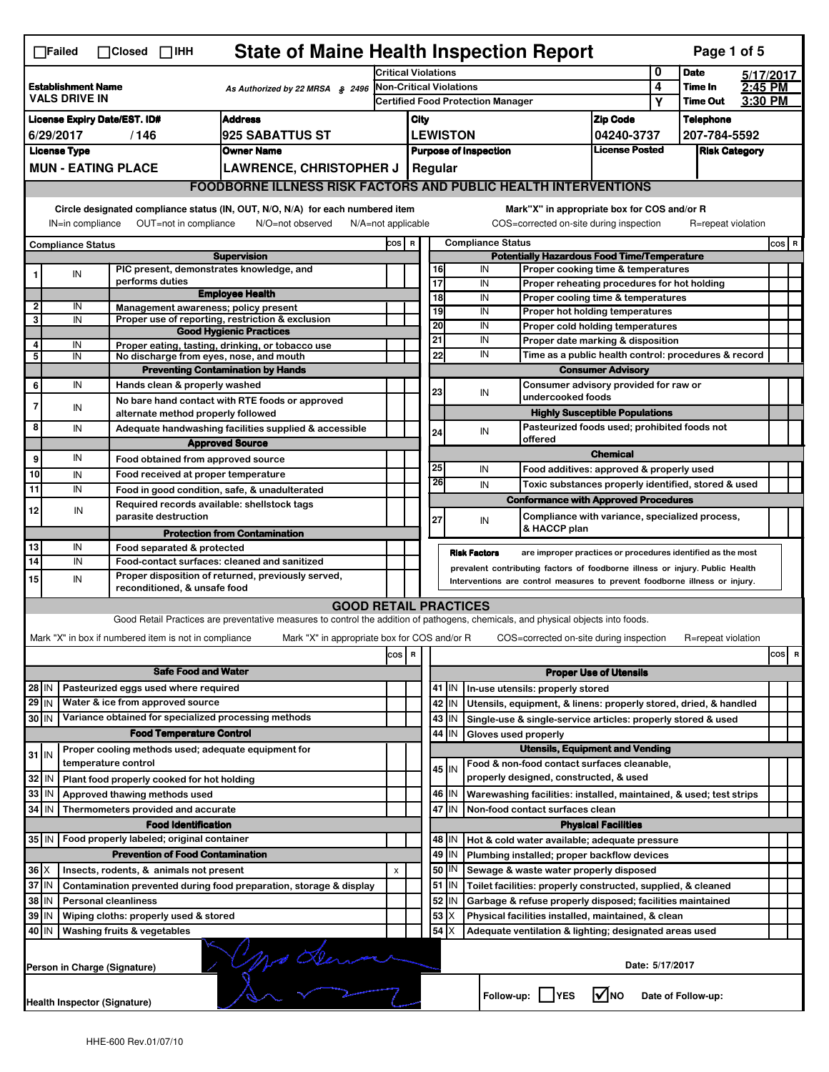|                                                                                      | <b>State of Maine Health Inspection Report</b><br>Page 1 of 5<br>$\Box$ Failed<br>$\Box$ Closed $\Box$ IHH       |  |                                |                                                       |                                                                                                                                   |                                                                       |                                                      |    |           |                                                              |   |                                                                                   |                               |                 |                    |         |       |
|--------------------------------------------------------------------------------------|------------------------------------------------------------------------------------------------------------------|--|--------------------------------|-------------------------------------------------------|-----------------------------------------------------------------------------------------------------------------------------------|-----------------------------------------------------------------------|------------------------------------------------------|----|-----------|--------------------------------------------------------------|---|-----------------------------------------------------------------------------------|-------------------------------|-----------------|--------------------|---------|-------|
|                                                                                      |                                                                                                                  |  | <b>Critical Violations</b>     |                                                       |                                                                                                                                   |                                                                       |                                                      |    | 0         | <b>Date</b>                                                  |   | 5/17/2017                                                                         |                               |                 |                    |         |       |
| <b>Establishment Name</b><br>As Authorized by 22 MRSA § 2496<br><b>VALS DRIVE IN</b> |                                                                                                                  |  | <b>Non-Critical Violations</b> |                                                       |                                                                                                                                   |                                                                       |                                                      |    |           |                                                              | 4 | Time In                                                                           | 2:45 PM                       |                 |                    |         |       |
|                                                                                      |                                                                                                                  |  |                                |                                                       |                                                                                                                                   |                                                                       |                                                      |    |           | <b>Certified Food Protection Manager</b>                     |   |                                                                                   | Υ                             | <b>Time Out</b> | 3:30 PM            |         |       |
|                                                                                      | <b>Address</b><br><b>License Expiry Date/EST. ID#</b>                                                            |  |                                |                                                       |                                                                                                                                   | <b>Zip Code</b><br>City                                               |                                                      |    |           |                                                              |   |                                                                                   | <b>Telephone</b>              |                 |                    |         |       |
|                                                                                      | 6/29/2017<br>/146<br><b>925 SABATTUS ST</b>                                                                      |  |                                |                                                       |                                                                                                                                   | <b>LEWISTON</b><br>04240-3737<br><b>License Posted</b>                |                                                      |    |           |                                                              |   | 207-784-5592                                                                      |                               |                 |                    |         |       |
|                                                                                      | <b>License Type</b><br><b>Owner Name</b><br><b>MUN - EATING PLACE</b>                                            |  |                                |                                                       |                                                                                                                                   |                                                                       | <b>Purpose of Inspection</b><br><b>Risk Category</b> |    |           |                                                              |   |                                                                                   |                               |                 |                    |         |       |
|                                                                                      |                                                                                                                  |  |                                |                                                       | <b>LAWRENCE, CHRISTOPHER J</b>                                                                                                    | Regular                                                               |                                                      |    |           |                                                              |   |                                                                                   |                               |                 |                    |         |       |
|                                                                                      | <b>FOODBORNE ILLNESS RISK FACTORS AND PUBLIC HEALTH INTERVENTIONS</b>                                            |  |                                |                                                       |                                                                                                                                   |                                                                       |                                                      |    |           |                                                              |   |                                                                                   |                               |                 |                    |         |       |
|                                                                                      |                                                                                                                  |  |                                |                                                       | Circle designated compliance status (IN, OUT, N/O, N/A) for each numbered item                                                    |                                                                       |                                                      |    |           |                                                              |   | Mark"X" in appropriate box for COS and/or R                                       |                               |                 |                    |         |       |
|                                                                                      | OUT=not in compliance<br>IN=in compliance<br>N/O=not observed<br>$N/A = not$ applicable                          |  |                                |                                                       |                                                                                                                                   |                                                                       |                                                      |    |           |                                                              |   | COS=corrected on-site during inspection                                           |                               |                 | R=repeat violation |         |       |
| <b>Compliance Status</b>                                                             |                                                                                                                  |  |                                |                                                       | COS R                                                                                                                             |                                                                       |                                                      |    |           | <b>Compliance Status</b>                                     |   |                                                                                   |                               |                 |                    | $cos$ R |       |
|                                                                                      |                                                                                                                  |  |                                |                                                       | <b>Supervision</b>                                                                                                                |                                                                       |                                                      |    |           |                                                              |   | <b>Potentially Hazardous Food Time/Temperature</b>                                |                               |                 |                    |         |       |
|                                                                                      | IN                                                                                                               |  | performs duties                |                                                       | PIC present, demonstrates knowledge, and                                                                                          |                                                                       |                                                      | 17 | 16        | IN<br>IN                                                     |   | Proper cooking time & temperatures                                                |                               |                 |                    |         |       |
|                                                                                      |                                                                                                                  |  |                                |                                                       | <b>Employee Health</b>                                                                                                            |                                                                       |                                                      |    | 18        | IN                                                           |   | Proper reheating procedures for hot holding<br>Proper cooling time & temperatures |                               |                 |                    |         |       |
| 2                                                                                    | IN                                                                                                               |  |                                |                                                       | Management awareness; policy present                                                                                              |                                                                       |                                                      |    | 19        | IN                                                           |   | Proper hot holding temperatures                                                   |                               |                 |                    |         |       |
| 3                                                                                    | IN                                                                                                               |  |                                |                                                       | Proper use of reporting, restriction & exclusion                                                                                  |                                                                       |                                                      |    | 20        | IN                                                           |   | Proper cold holding temperatures                                                  |                               |                 |                    |         |       |
| 4                                                                                    | IN                                                                                                               |  |                                |                                                       | <b>Good Hygienic Practices</b><br>Proper eating, tasting, drinking, or tobacco use                                                |                                                                       |                                                      | 21 |           | IN                                                           |   | Proper date marking & disposition                                                 |                               |                 |                    |         |       |
| 5                                                                                    | IN                                                                                                               |  |                                |                                                       | No discharge from eyes, nose, and mouth                                                                                           |                                                                       |                                                      |    | 22        | IN                                                           |   | Time as a public health control: procedures & record                              |                               |                 |                    |         |       |
|                                                                                      |                                                                                                                  |  |                                |                                                       | <b>Preventing Contamination by Hands</b>                                                                                          |                                                                       |                                                      |    |           |                                                              |   |                                                                                   | <b>Consumer Advisory</b>      |                 |                    |         |       |
| 6                                                                                    | IN                                                                                                               |  |                                | Hands clean & properly washed                         |                                                                                                                                   |                                                                       |                                                      |    | 23        | IN                                                           |   | Consumer advisory provided for raw or                                             |                               |                 |                    |         |       |
| 7                                                                                    | IN                                                                                                               |  |                                |                                                       | No bare hand contact with RTE foods or approved                                                                                   |                                                                       |                                                      |    |           |                                                              |   | undercooked foods                                                                 |                               |                 |                    |         |       |
|                                                                                      |                                                                                                                  |  |                                | alternate method properly followed                    |                                                                                                                                   |                                                                       |                                                      |    |           |                                                              |   | <b>Highly Susceptible Populations</b>                                             |                               |                 |                    |         |       |
| 8                                                                                    | IN                                                                                                               |  |                                |                                                       | Adequate handwashing facilities supplied & accessible                                                                             |                                                                       |                                                      | 24 |           | IN                                                           |   | Pasteurized foods used; prohibited foods not<br>offered                           |                               |                 |                    |         |       |
|                                                                                      |                                                                                                                  |  |                                |                                                       | <b>Approved Source</b>                                                                                                            |                                                                       |                                                      |    |           |                                                              |   |                                                                                   | <b>Chemical</b>               |                 |                    |         |       |
| 9                                                                                    | IN                                                                                                               |  |                                |                                                       | Food obtained from approved source                                                                                                |                                                                       |                                                      | 25 |           | IN                                                           |   | Food additives: approved & properly used                                          |                               |                 |                    |         |       |
| 10                                                                                   | IN                                                                                                               |  |                                |                                                       | Food received at proper temperature                                                                                               |                                                                       |                                                      |    | 26        | IN                                                           |   | Toxic substances properly identified, stored & used                               |                               |                 |                    |         |       |
| 11                                                                                   | IN                                                                                                               |  |                                |                                                       | Food in good condition, safe, & unadulterated                                                                                     |                                                                       |                                                      |    |           |                                                              |   | <b>Conformance with Approved Procedures</b>                                       |                               |                 |                    |         |       |
| 12                                                                                   | IN                                                                                                               |  |                                | parasite destruction                                  | Required records available: shellstock tags                                                                                       |                                                                       |                                                      |    |           |                                                              |   | Compliance with variance, specialized process,                                    |                               |                 |                    |         |       |
|                                                                                      |                                                                                                                  |  |                                |                                                       |                                                                                                                                   |                                                                       |                                                      | 27 |           | IN                                                           |   | & HACCP plan                                                                      |                               |                 |                    |         |       |
| 13                                                                                   | IN                                                                                                               |  |                                | Food separated & protected                            | <b>Protection from Contamination</b>                                                                                              |                                                                       |                                                      |    |           |                                                              |   |                                                                                   |                               |                 |                    |         |       |
| $\overline{14}$                                                                      | IN                                                                                                               |  |                                |                                                       | Food-contact surfaces: cleaned and sanitized                                                                                      |                                                                       |                                                      |    |           | <b>Risk Factors</b>                                          |   | are improper practices or procedures identified as the most                       |                               |                 |                    |         |       |
| 15                                                                                   |                                                                                                                  |  |                                |                                                       | Proper disposition of returned, previously served,                                                                                |                                                                       |                                                      |    |           |                                                              |   | prevalent contributing factors of foodborne illness or injury. Public Health      |                               |                 |                    |         |       |
|                                                                                      | IN<br>Interventions are control measures to prevent foodborne illness or injury.<br>reconditioned, & unsafe food |  |                                |                                                       |                                                                                                                                   |                                                                       |                                                      |    |           |                                                              |   |                                                                                   |                               |                 |                    |         |       |
|                                                                                      |                                                                                                                  |  |                                |                                                       | <b>GOOD RETAIL PRACTICES</b>                                                                                                      |                                                                       |                                                      |    |           |                                                              |   |                                                                                   |                               |                 |                    |         |       |
|                                                                                      |                                                                                                                  |  |                                |                                                       | Good Retail Practices are preventative measures to control the addition of pathogens, chemicals, and physical objects into foods. |                                                                       |                                                      |    |           |                                                              |   |                                                                                   |                               |                 |                    |         |       |
|                                                                                      |                                                                                                                  |  |                                | Mark "X" in box if numbered item is not in compliance | Mark "X" in appropriate box for COS and/or R                                                                                      |                                                                       |                                                      |    |           |                                                              |   | COS=corrected on-site during inspection                                           |                               |                 | R=repeat violation |         |       |
|                                                                                      |                                                                                                                  |  |                                |                                                       |                                                                                                                                   | cos                                                                   | R                                                    |    |           |                                                              |   |                                                                                   |                               |                 |                    |         | cos R |
|                                                                                      |                                                                                                                  |  |                                | <b>Safe Food and Water</b>                            |                                                                                                                                   |                                                                       |                                                      |    |           |                                                              |   |                                                                                   | <b>Proper Use of Utensils</b> |                 |                    |         |       |
| 28 IN                                                                                |                                                                                                                  |  |                                | Pasteurized eggs used where required                  |                                                                                                                                   |                                                                       |                                                      |    | $41$   IN |                                                              |   | In-use utensils: properly stored                                                  |                               |                 |                    |         |       |
| 29 IN                                                                                |                                                                                                                  |  |                                | Water & ice from approved source                      |                                                                                                                                   |                                                                       |                                                      |    | 42<br>IN  |                                                              |   | Utensils, equipment, & linens: properly stored, dried, & handled                  |                               |                 |                    |         |       |
| 30 IN                                                                                |                                                                                                                  |  |                                |                                                       | Variance obtained for specialized processing methods                                                                              |                                                                       |                                                      |    | 43<br>IN  |                                                              |   | Single-use & single-service articles: properly stored & used                      |                               |                 |                    |         |       |
|                                                                                      |                                                                                                                  |  |                                | <b>Food Temperature Control</b>                       |                                                                                                                                   |                                                                       |                                                      |    | 44<br>IN  |                                                              |   | Gloves used properly                                                              |                               |                 |                    |         |       |
| $31$ IN                                                                              |                                                                                                                  |  |                                |                                                       | Proper cooling methods used; adequate equipment for                                                                               |                                                                       |                                                      |    |           |                                                              |   | <b>Utensils, Equipment and Vending</b>                                            |                               |                 |                    |         |       |
|                                                                                      |                                                                                                                  |  | temperature control            |                                                       |                                                                                                                                   |                                                                       |                                                      |    | 45 I IN   |                                                              |   | Food & non-food contact surfaces cleanable,                                       |                               |                 |                    |         |       |
| 32                                                                                   | IN                                                                                                               |  |                                | Plant food properly cooked for hot holding            |                                                                                                                                   |                                                                       |                                                      |    |           |                                                              |   | properly designed, constructed, & used                                            |                               |                 |                    |         |       |
| 33                                                                                   | IN                                                                                                               |  |                                | Approved thawing methods used                         |                                                                                                                                   |                                                                       |                                                      |    | 46<br>IN  |                                                              |   | Warewashing facilities: installed, maintained, & used; test strips                |                               |                 |                    |         |       |
| 34                                                                                   | l IN                                                                                                             |  |                                | Thermometers provided and accurate                    |                                                                                                                                   |                                                                       |                                                      |    | 47 IN     |                                                              |   | Non-food contact surfaces clean                                                   |                               |                 |                    |         |       |
|                                                                                      |                                                                                                                  |  |                                | <b>Food Identification</b>                            |                                                                                                                                   |                                                                       |                                                      |    |           |                                                              |   |                                                                                   | <b>Physical Facilities</b>    |                 |                    |         |       |
| 35 IN                                                                                |                                                                                                                  |  |                                | Food properly labeled; original container             |                                                                                                                                   |                                                                       |                                                      |    | 48   IN   |                                                              |   | Hot & cold water available; adequate pressure                                     |                               |                 |                    |         |       |
|                                                                                      |                                                                                                                  |  |                                | <b>Prevention of Food Contamination</b>               |                                                                                                                                   |                                                                       |                                                      |    | 49<br>IN  |                                                              |   | Plumbing installed; proper backflow devices                                       |                               |                 |                    |         |       |
| $36 \times$                                                                          |                                                                                                                  |  |                                | Insects, rodents, & animals not present               |                                                                                                                                   | X                                                                     |                                                      |    | 50 <br>IN |                                                              |   | Sewage & waste water properly disposed                                            |                               |                 |                    |         |       |
|                                                                                      | 37 IN<br>Contamination prevented during food preparation, storage & display                                      |  |                                |                                                       |                                                                                                                                   |                                                                       | $51$ M                                               |    |           | Toilet facilities: properly constructed, supplied, & cleaned |   |                                                                                   |                               |                 |                    |         |       |
| 38<br>ΙN<br><b>Personal cleanliness</b>                                              |                                                                                                                  |  |                                |                                                       |                                                                                                                                   | 52<br>IN<br>Garbage & refuse properly disposed; facilities maintained |                                                      |    |           |                                                              |   |                                                                                   |                               |                 |                    |         |       |
| 39 IN                                                                                |                                                                                                                  |  |                                | Wiping cloths: properly used & stored                 |                                                                                                                                   |                                                                       |                                                      |    | 53<br>Χ   |                                                              |   | Physical facilities installed, maintained, & clean                                |                               |                 |                    |         |       |
|                                                                                      | 54<br>40 IN<br>Washing fruits & vegetables<br>Adequate ventilation & lighting; designated areas used             |  |                                |                                                       |                                                                                                                                   |                                                                       |                                                      |    |           |                                                              |   |                                                                                   |                               |                 |                    |         |       |
|                                                                                      | yo denso<br>Date: 5/17/2017<br>Person in Charge (Signature)                                                      |  |                                |                                                       |                                                                                                                                   |                                                                       |                                                      |    |           |                                                              |   |                                                                                   |                               |                 |                    |         |       |
|                                                                                      | Health Inspector (Signature)                                                                                     |  |                                |                                                       |                                                                                                                                   |                                                                       |                                                      |    |           |                                                              |   | Follow-up:     YES                                                                | l√Ino                         |                 | Date of Follow-up: |         |       |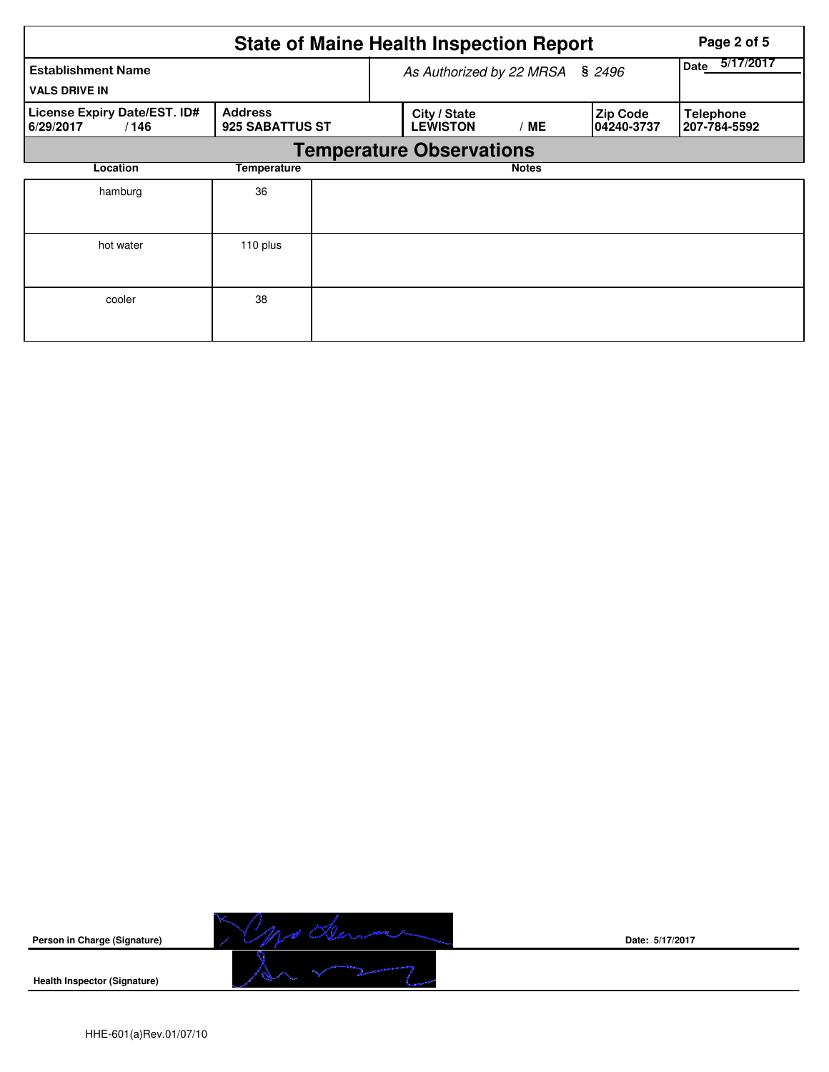|                                                   |                                   |  | <b>State of Maine Health Inspection Report</b> | Page 2 of 5       |                               |                                  |
|---------------------------------------------------|-----------------------------------|--|------------------------------------------------|-------------------|-------------------------------|----------------------------------|
| <b>Establishment Name</b><br><b>VALS DRIVE IN</b> |                                   |  | As Authorized by 22 MRSA                       | 5/17/2017<br>Date |                               |                                  |
| License Expiry Date/EST. ID#<br>6/29/2017<br>/146 | <b>Address</b><br>925 SABATTUS ST |  | City / State<br><b>LEWISTON</b>                | / ME              | <b>Zip Code</b><br>04240-3737 | <b>Telephone</b><br>207-784-5592 |
|                                                   |                                   |  | <b>Temperature Observations</b>                |                   |                               |                                  |
| Location                                          | Temperature                       |  |                                                | <b>Notes</b>      |                               |                                  |
| hamburg                                           | 36                                |  |                                                |                   |                               |                                  |
| hot water                                         | 110 plus                          |  |                                                |                   |                               |                                  |
| cooler                                            | 38                                |  |                                                |                   |                               |                                  |



**Date: 5/17/2017**

**Health Inspector (Signature)**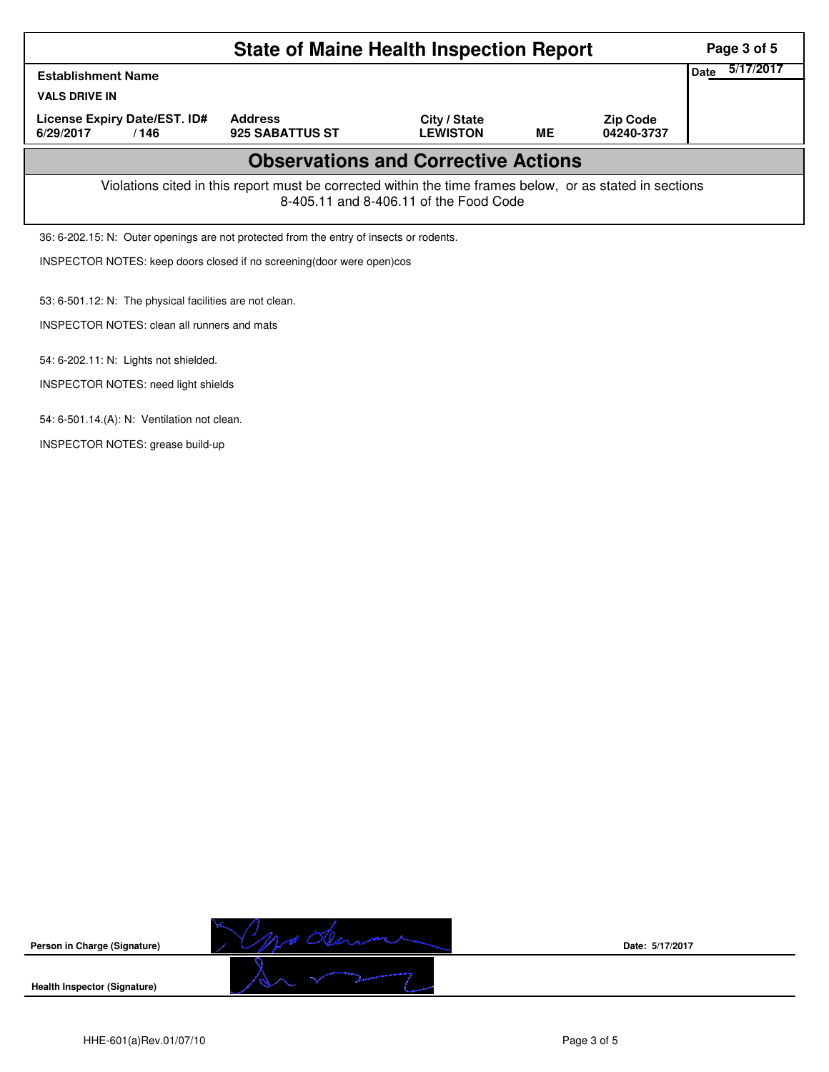|                                            | Page 3 of 5                                                                                                                                        |                                                                                         |                                 |           |                               |                   |  |  |  |  |
|--------------------------------------------|----------------------------------------------------------------------------------------------------------------------------------------------------|-----------------------------------------------------------------------------------------|---------------------------------|-----------|-------------------------------|-------------------|--|--|--|--|
| <b>Establishment Name</b>                  |                                                                                                                                                    |                                                                                         |                                 |           |                               | 5/17/2017<br>Date |  |  |  |  |
| <b>VALS DRIVE IN</b>                       |                                                                                                                                                    |                                                                                         |                                 |           |                               |                   |  |  |  |  |
| License Expiry Date/EST. ID#<br>6/29/2017  | /146                                                                                                                                               | <b>Address</b><br>925 SABATTUS ST                                                       | City / State<br><b>LEWISTON</b> | <b>ME</b> | <b>Zip Code</b><br>04240-3737 |                   |  |  |  |  |
| <b>Observations and Corrective Actions</b> |                                                                                                                                                    |                                                                                         |                                 |           |                               |                   |  |  |  |  |
|                                            | Violations cited in this report must be corrected within the time frames below, or as stated in sections<br>8-405.11 and 8-406.11 of the Food Code |                                                                                         |                                 |           |                               |                   |  |  |  |  |
|                                            |                                                                                                                                                    | 36: 6-202.15: N: Outer openings are not protected from the entry of insects or rodents. |                                 |           |                               |                   |  |  |  |  |
|                                            | INSPECTOR NOTES: keep doors closed if no screening (door were open) cos                                                                            |                                                                                         |                                 |           |                               |                   |  |  |  |  |
|                                            | 53: 6-501.12: N: The physical facilities are not clean.                                                                                            |                                                                                         |                                 |           |                               |                   |  |  |  |  |
|                                            | <b>INSPECTOR NOTES: clean all runners and mats</b>                                                                                                 |                                                                                         |                                 |           |                               |                   |  |  |  |  |
|                                            | 54: 6-202.11: N: Lights not shielded.                                                                                                              |                                                                                         |                                 |           |                               |                   |  |  |  |  |
|                                            | INSPECTOR NOTES: need light shields                                                                                                                |                                                                                         |                                 |           |                               |                   |  |  |  |  |
|                                            | 54: 6-501.14.(A): N: Ventilation not clean.                                                                                                        |                                                                                         |                                 |           |                               |                   |  |  |  |  |

INSPECTOR NOTES: grease build-up

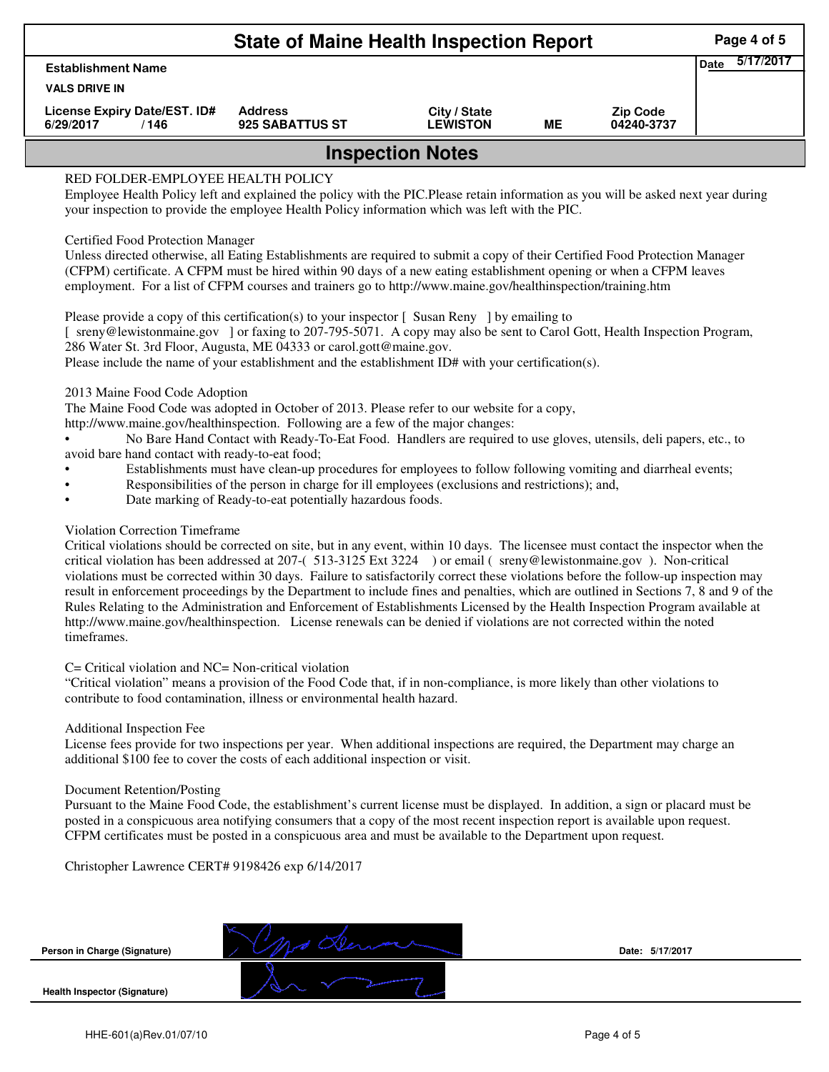| <b>State of Maine Health Inspection Report</b>                                                                                                                                                                                                                           |                                      |                                   |                                 |    |                               |  |  |  |  |
|--------------------------------------------------------------------------------------------------------------------------------------------------------------------------------------------------------------------------------------------------------------------------|--------------------------------------|-----------------------------------|---------------------------------|----|-------------------------------|--|--|--|--|
| <b>Date</b><br><b>Establishment Name</b><br><b>VALS DRIVE IN</b>                                                                                                                                                                                                         |                                      |                                   |                                 |    |                               |  |  |  |  |
| 6/29/2017                                                                                                                                                                                                                                                                | License Expiry Date/EST. ID#<br>/146 | <b>Address</b><br>925 SABATTUS ST | City / State<br><b>LEWISTON</b> | ME | <b>Zip Code</b><br>04240-3737 |  |  |  |  |
| <b>Inspection Notes</b>                                                                                                                                                                                                                                                  |                                      |                                   |                                 |    |                               |  |  |  |  |
| RED FOLDER-EMPLOYEE HEALTH POLICY<br>Employee Health Policy left and explained the policy with the PIC.Please retain information as you will be asked next year during<br>your inspection to provide the employee Health Policy information which was left with the PIC. |                                      |                                   |                                 |    |                               |  |  |  |  |
| <b>Certified Food Protection Manager</b><br>Unless directed otherwise, all Eating Establishments are required to submit a copy of their Certified Food Protection Manager                                                                                                |                                      |                                   |                                 |    |                               |  |  |  |  |

(CFPM) certificate. A CFPM must be hired within 90 days of a new eating establishment opening or when a CFPM leaves employment. For a list of CFPM courses and trainers go to http://www.maine.gov/healthinspection/training.htm

Please provide a copy of this certification(s) to your inspector [Susan Reny ] by emailing to [ sreny@lewistonmaine.gov ] or faxing to 207-795-5071. A copy may also be sent to Carol Gott, Health Inspection Program, 286 Water St. 3rd Floor, Augusta, ME 04333 or carol.gott@maine.gov.

Please include the name of your establishment and the establishment ID# with your certification(s).

2013 Maine Food Code Adoption

The Maine Food Code was adopted in October of 2013. Please refer to our website for a copy,

http://www.maine.gov/healthinspection. Following are a few of the major changes:

• No Bare Hand Contact with Ready-To-Eat Food. Handlers are required to use gloves, utensils, deli papers, etc., to avoid bare hand contact with ready-to-eat food;

- Establishments must have clean-up procedures for employees to follow following vomiting and diarrheal events;
- Responsibilities of the person in charge for ill employees (exclusions and restrictions); and,
- Date marking of Ready-to-eat potentially hazardous foods.

## Violation Correction Timeframe

Critical violations should be corrected on site, but in any event, within 10 days. The licensee must contact the inspector when the critical violation has been addressed at 207-( 513-3125 Ext 3224 ) or email ( sreny@lewistonmaine.gov ). Non-critical violations must be corrected within 30 days. Failure to satisfactorily correct these violations before the follow-up inspection may result in enforcement proceedings by the Department to include fines and penalties, which are outlined in Sections 7, 8 and 9 of the Rules Relating to the Administration and Enforcement of Establishments Licensed by the Health Inspection Program available at http://www.maine.gov/healthinspection. License renewals can be denied if violations are not corrected within the noted timeframes.

## C= Critical violation and NC= Non-critical violation

"Critical violation" means a provision of the Food Code that, if in non-compliance, is more likely than other violations to contribute to food contamination, illness or environmental health hazard.

## Additional Inspection Fee

License fees provide for two inspections per year. When additional inspections are required, the Department may charge an additional \$100 fee to cover the costs of each additional inspection or visit.

## Document Retention/Posting

Pursuant to the Maine Food Code, the establishment's current license must be displayed. In addition, a sign or placard must be posted in a conspicuous area notifying consumers that a copy of the most recent inspection report is available upon request. CFPM certificates must be posted in a conspicuous area and must be available to the Department upon request.

Christopher Lawrence CERT# 9198426 exp 6/14/2017